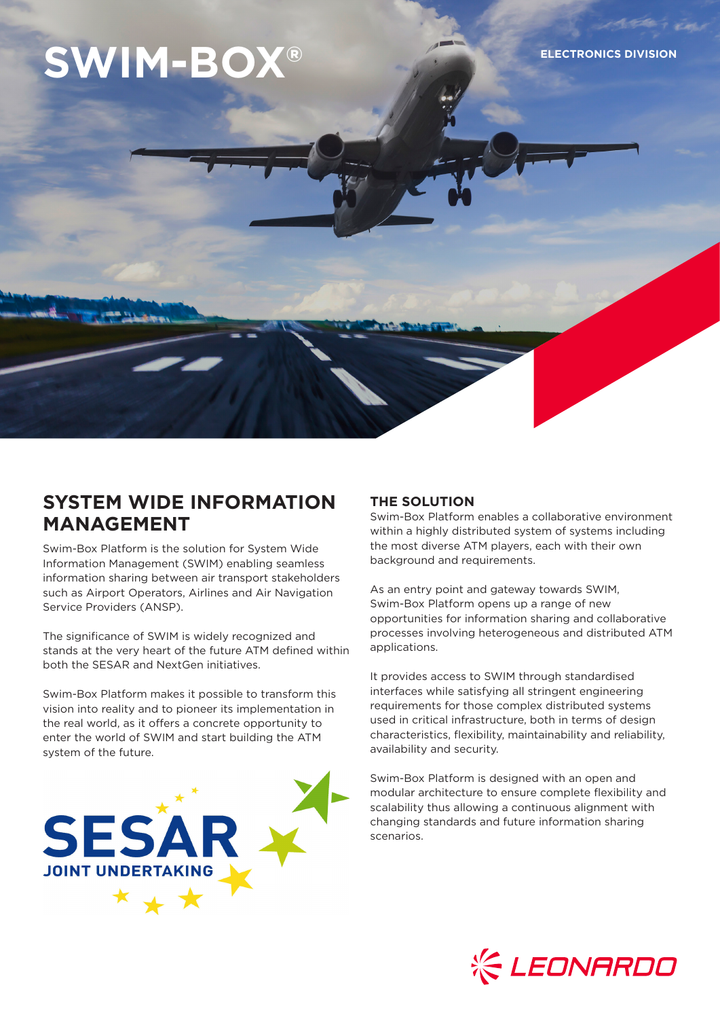# **SWIM-BOX® ELECTRONICS DIVISION**

# **SYSTEM WIDE INFORMATION MANAGEMENT**

Swim-Box Platform is the solution for System Wide Information Management (SWIM) enabling seamless information sharing between air transport stakeholders such as Airport Operators, Airlines and Air Navigation Service Providers (ANSP).

The significance of SWIM is widely recognized and stands at the very heart of the future ATM defined within both the SESAR and NextGen initiatives.

Swim-Box Platform makes it possible to transform this vision into reality and to pioneer its implementation in the real world, as it offers a concrete opportunity to enter the world of SWIM and start building the ATM system of the future.



## **THE SOLUTION**

Swim-Box Platform enables a collaborative environment within a highly distributed system of systems including the most diverse ATM players, each with their own background and requirements.

As an entry point and gateway towards SWIM, Swim-Box Platform opens up a range of new opportunities for information sharing and collaborative processes involving heterogeneous and distributed ATM applications.

It provides access to SWIM through standardised interfaces while satisfying all stringent engineering requirements for those complex distributed systems used in critical infrastructure, both in terms of design characteristics, flexibility, maintainability and reliability, availability and security.

Swim-Box Platform is designed with an open and modular architecture to ensure complete flexibility and scalability thus allowing a continuous alignment with changing standards and future information sharing scenarios.